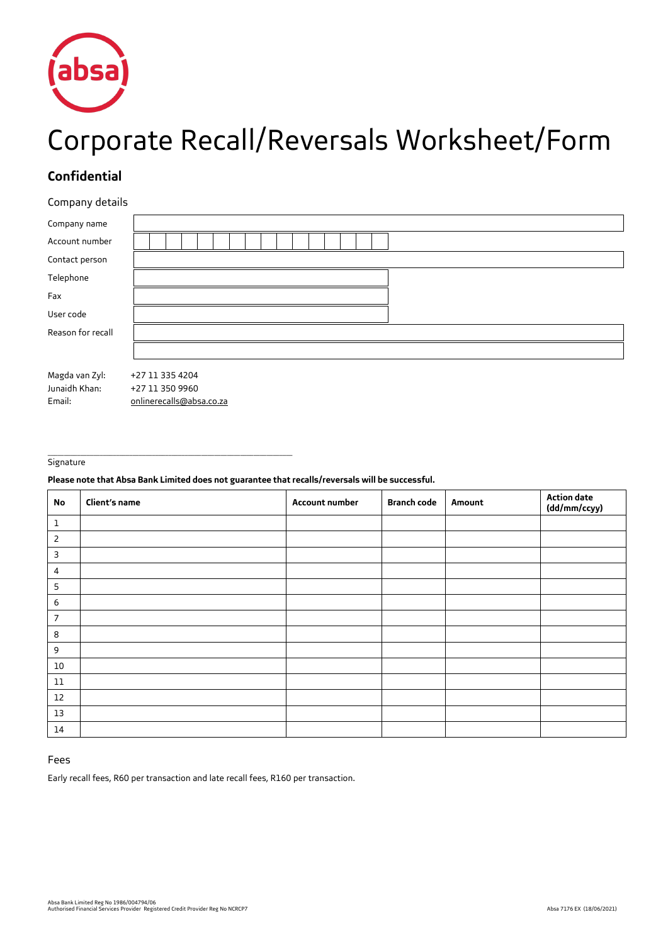

# Corporate Recall/Reversals Worksheet/Form

## **Confidential**

## Company details

| Company name      |                          |  |
|-------------------|--------------------------|--|
| Account number    |                          |  |
| Contact person    |                          |  |
| Telephone         |                          |  |
| Fax               |                          |  |
| User code         |                          |  |
| Reason for recall |                          |  |
|                   |                          |  |
| Magda van Zyl:    | +27 11 335 4204          |  |
| Junaidh Khan:     | +27 11 350 9960          |  |
|                   |                          |  |
| Email:            | onlinerecalls@absa.co.za |  |

#### \_\_\_\_\_\_\_\_\_\_\_\_\_\_\_\_\_\_\_\_\_\_\_\_\_\_\_\_\_\_\_\_\_\_\_\_\_\_\_\_\_\_\_\_\_\_\_\_\_\_\_\_\_\_\_\_\_\_\_\_\_\_\_\_\_\_\_\_\_\_\_\_\_\_\_ **Signature**

### **Please note that Absa Bank Limited does not guarantee that recalls/reversals will be successful.**

| No             | Client's name | Account number | <b>Branch code</b> | Amount | <b>Action date</b><br>(dd/mm/ccyy) |
|----------------|---------------|----------------|--------------------|--------|------------------------------------|
| $1\,$          |               |                |                    |        |                                    |
| 2              |               |                |                    |        |                                    |
| 3              |               |                |                    |        |                                    |
| $\overline{4}$ |               |                |                    |        |                                    |
| 5              |               |                |                    |        |                                    |
| 6              |               |                |                    |        |                                    |
| $\overline{7}$ |               |                |                    |        |                                    |
| 8              |               |                |                    |        |                                    |
| 9              |               |                |                    |        |                                    |
| 10             |               |                |                    |        |                                    |
| $11\,$         |               |                |                    |        |                                    |
| $12$           |               |                |                    |        |                                    |
| $13\,$         |               |                |                    |        |                                    |
| 14             |               |                |                    |        |                                    |

## Fees

Early recall fees, R60 per transaction and late recall fees, R160 per transaction.